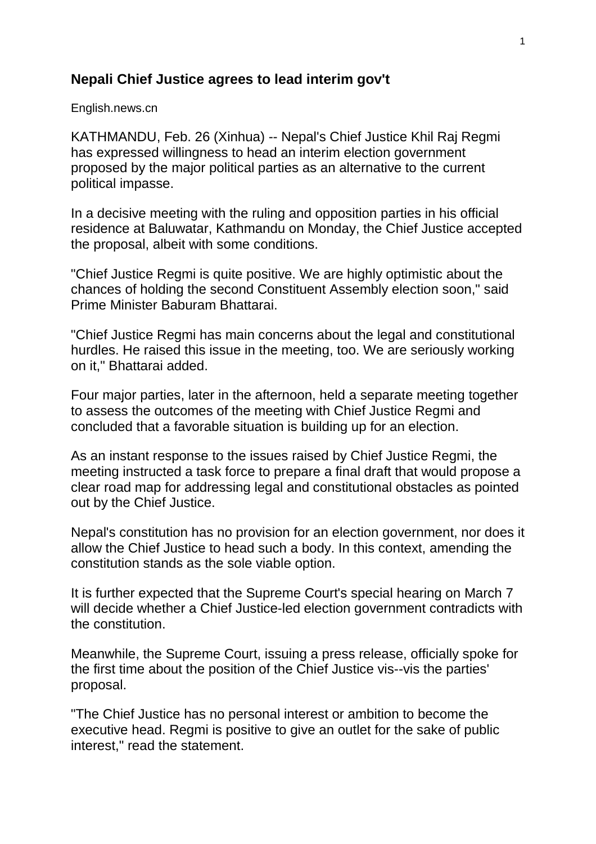## **Nepali Chief Justice agrees to lead interim gov't**

English.news.cn

KATHMANDU, Feb. 26 (Xinhua) -- Nepal's Chief Justice Khil Raj Regmi has expressed willingness to head an interim election government proposed by the major political parties as an alternative to the current political impasse.

In a decisive meeting with the ruling and opposition parties in his official residence at Baluwatar, Kathmandu on Monday, the Chief Justice accepted the proposal, albeit with some conditions.

"Chief Justice Regmi is quite positive. We are highly optimistic about the chances of holding the second Constituent Assembly election soon," said Prime Minister Baburam Bhattarai.

"Chief Justice Regmi has main concerns about the legal and constitutional hurdles. He raised this issue in the meeting, too. We are seriously working on it," Bhattarai added.

Four major parties, later in the afternoon, held a separate meeting together to assess the outcomes of the meeting with Chief Justice Regmi and concluded that a favorable situation is building up for an election.

As an instant response to the issues raised by Chief Justice Regmi, the meeting instructed a task force to prepare a final draft that would propose a clear road map for addressing legal and constitutional obstacles as pointed out by the Chief Justice.

Nepal's constitution has no provision for an election government, nor does it allow the Chief Justice to head such a body. In this context, amending the constitution stands as the sole viable option.

It is further expected that the Supreme Court's special hearing on March 7 will decide whether a Chief Justice-led election government contradicts with the constitution.

Meanwhile, the Supreme Court, issuing a press release, officially spoke for the first time about the position of the Chief Justice vis--vis the parties' proposal.

"The Chief Justice has no personal interest or ambition to become the executive head. Regmi is positive to give an outlet for the sake of public interest," read the statement.